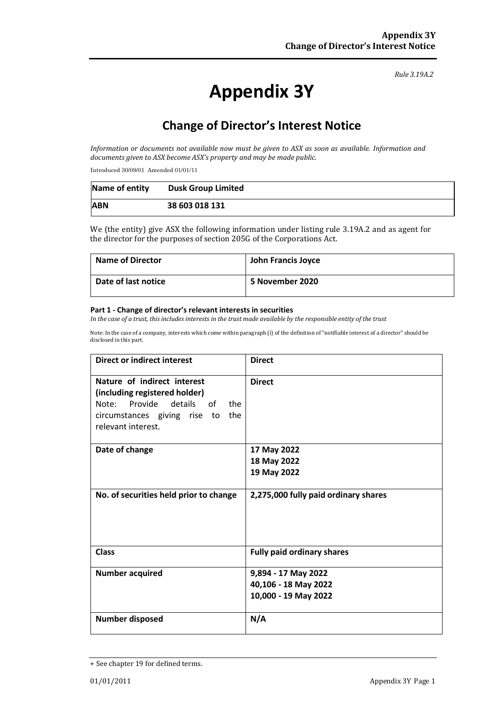#### *Rule 3.19A.2*

# **Appendix 3Y**

# **Change of Director's Interest Notice**

*Information or documents not available now must be given to ASX as soon as available. Information and documents given to ASX become ASX's property and may be made public.*

Introduced 30/09/01 Amended 01/01/11

| Name of entity | <b>Dusk Group Limited</b> |
|----------------|---------------------------|
| <b>ABN</b>     | 38 603 018 131            |

We (the entity) give ASX the following information under listing rule 3.19A.2 and as agent for the director for the purposes of section 205G of the Corporations Act.

| <b>Name of Director</b> | John Francis Joyce |
|-------------------------|--------------------|
| Date of last notice     | 5 November 2020    |

#### **Part 1 - Change of director's relevant interests in securities**

In the case of a trust, this includes interests in the trust made available by the responsible entity of the trust

Note: In the case of a company, interests which come within paragraph (i) of the definition of "notifiable interest of a director" should be disclosed in this part.

| <b>Direct or indirect interest</b>                                                                                                                        | <b>Direct</b>                        |
|-----------------------------------------------------------------------------------------------------------------------------------------------------------|--------------------------------------|
| Nature of indirect interest<br>(including registered holder)<br>Note: Provide details<br>of the<br>circumstances giving rise to the<br>relevant interest. | <b>Direct</b>                        |
| Date of change                                                                                                                                            | 17 May 2022                          |
|                                                                                                                                                           | 18 May 2022                          |
|                                                                                                                                                           | 19 May 2022                          |
| No. of securities held prior to change                                                                                                                    | 2,275,000 fully paid ordinary shares |
| <b>Class</b>                                                                                                                                              | <b>Fully paid ordinary shares</b>    |
| <b>Number acquired</b>                                                                                                                                    | 9,894 - 17 May 2022                  |
|                                                                                                                                                           | 40,106 - 18 May 2022                 |
|                                                                                                                                                           | 10,000 - 19 May 2022                 |
| <b>Number disposed</b>                                                                                                                                    | N/A                                  |

<sup>+</sup> See chapter 19 for defined terms.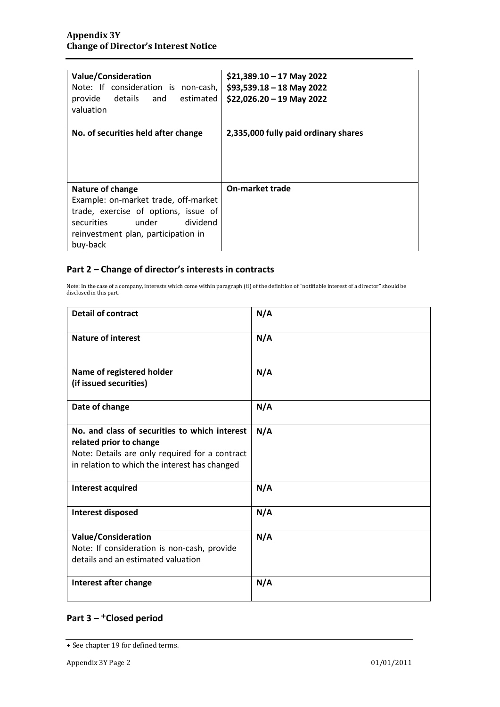| <b>Value/Consideration</b><br>Note: If consideration is non-cash,<br>estimated<br>provide<br>details and<br>valuation                                                                         | $$21,389.10 - 17$ May 2022<br>$$93,539.18 - 18$ May 2022<br>$$22,026.20 - 19$ May 2022 |
|-----------------------------------------------------------------------------------------------------------------------------------------------------------------------------------------------|----------------------------------------------------------------------------------------|
| No. of securities held after change                                                                                                                                                           | 2,335,000 fully paid ordinary shares                                                   |
| <b>Nature of change</b><br>Example: on-market trade, off-market<br>trade, exercise of options, issue of<br>under<br>dividend<br>securities<br>reinvestment plan, participation in<br>buy-back | <b>On-market trade</b>                                                                 |

### **Part 2 – Change of director's interests in contracts**

Note: In the case of a company, interests which come within paragraph (ii) of the definition of "notifiable interest of a director" should be disclosed in this part.

| <b>Detail of contract</b>                                                                                                                                                   | N/A |
|-----------------------------------------------------------------------------------------------------------------------------------------------------------------------------|-----|
| <b>Nature of interest</b>                                                                                                                                                   | N/A |
| Name of registered holder<br>(if issued securities)                                                                                                                         | N/A |
| Date of change                                                                                                                                                              | N/A |
| No. and class of securities to which interest<br>related prior to change<br>Note: Details are only required for a contract<br>in relation to which the interest has changed | N/A |
| Interest acquired                                                                                                                                                           | N/A |
| <b>Interest disposed</b>                                                                                                                                                    | N/A |
| <b>Value/Consideration</b><br>Note: If consideration is non-cash, provide<br>details and an estimated valuation                                                             | N/A |
| Interest after change                                                                                                                                                       | N/A |

## **Part 3 –** +**Closed period**

<sup>+</sup> See chapter 19 for defined terms.